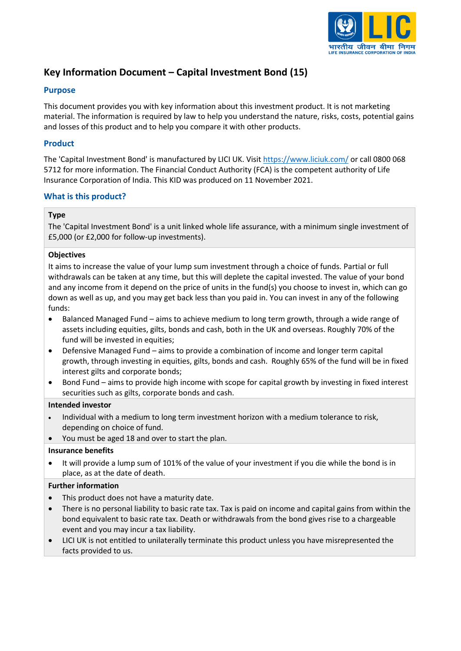

# **Key Information Document – Capital Investment Bond (15)**

### **Purpose**

This document provides you with key information about this investment product. It is not marketing material. The information is required by law to help you understand the nature, risks, costs, potential gains and losses of this product and to help you compare it with other products.

### **Product**

The 'Capital Investment Bond' is manufactured by LICI UK. Visit<https://www.liciuk.com/> or call 0800 068 5712 for more information. The Financial Conduct Authority (FCA) is the competent authority of Life Insurance Corporation of India. This KID was produced on 11 November 2021.

### **What is this product?**

### **Type**

The 'Capital Investment Bond' is a unit linked whole life assurance, with a minimum single investment of £5,000 (or £2,000 for follow-up investments).

#### **Objectives**

It aims to increase the value of your lump sum investment through a choice of funds. Partial or full withdrawals can be taken at any time, but this will deplete the capital invested. The value of your bond and any income from it depend on the price of units in the fund(s) you choose to invest in, which can go down as well as up, and you may get back less than you paid in. You can invest in any of the following funds:

- Balanced Managed Fund aims to achieve medium to long term growth, through a wide range of assets including equities, gilts, bonds and cash, both in the UK and overseas. Roughly 70% of the fund will be invested in equities;
- Defensive Managed Fund aims to provide a combination of income and longer term capital growth, through investing in equities, gilts, bonds and cash. Roughly 65% of the fund will be in fixed interest gilts and corporate bonds;
- Bond Fund aims to provide high income with scope for capital growth by investing in fixed interest securities such as gilts, corporate bonds and cash.

#### **Intended investor**

- Individual with a medium to long term investment horizon with a medium tolerance to risk, depending on choice of fund.
- You must be aged 18 and over to start the plan.

#### **Insurance benefits**

• It will provide a lump sum of 101% of the value of your investment if you die while the bond is in place, as at the date of death.

### **Further information**

- This product does not have a maturity date.
- There is no personal liability to basic rate tax. Tax is paid on income and capital gains from within the bond equivalent to basic rate tax. Death or withdrawals from the bond gives rise to a chargeable event and you may incur a tax liability.
- LICI UK is not entitled to unilaterally terminate this product unless you have misrepresented the facts provided to us.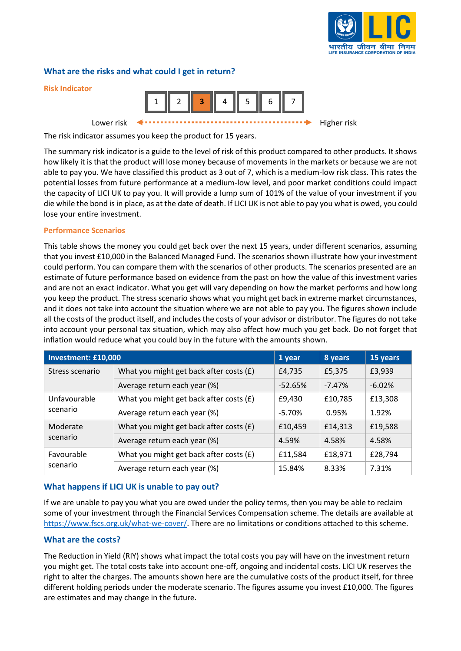

### **What are the risks and what could I get in return?**



The risk indicator assumes you keep the product for 15 years.

The summary risk indicator is a guide to the level of risk of this product compared to other products. It shows how likely it is that the product will lose money because of movements in the markets or because we are not able to pay you. We have classified this product as 3 out of 7, which is a medium-low risk class. This rates the potential losses from future performance at a medium-low level, and poor market conditions could impact the capacity of LICI UK to pay you. It will provide a lump sum of 101% of the value of your investment if you die while the bond is in place, as at the date of death. If LICI UK is not able to pay you what is owed, you could lose your entire investment.

#### **Performance Scenarios**

This table shows the money you could get back over the next 15 years, under different scenarios, assuming that you invest £10,000 in the Balanced Managed Fund. The scenarios shown illustrate how your investment could perform. You can compare them with the scenarios of other products. The scenarios presented are an estimate of future performance based on evidence from the past on how the value of this investment varies and are not an exact indicator. What you get will vary depending on how the market performs and how long you keep the product. The stress scenario shows what you might get back in extreme market circumstances, and it does not take into account the situation where we are not able to pay you. The figures shown include all the costs of the product itself, and includes the costs of your advisor or distributor. The figures do not take into account your personal tax situation, which may also affect how much you get back. Do not forget that inflation would reduce what you could buy in the future with the amounts shown.

| Investment: £10,000      |                                         | 1 year    | 8 years  | 15 years |
|--------------------------|-----------------------------------------|-----------|----------|----------|
| Stress scenario          | What you might get back after costs (£) | £4,735    | £5,375   | £3,939   |
|                          | Average return each year (%)            | $-52.65%$ | $-7.47%$ | $-6.02%$ |
| Unfavourable<br>scenario | What you might get back after costs (£) | £9,430    | £10,785  | £13,308  |
|                          | Average return each year (%)            | $-5.70%$  | 0.95%    | 1.92%    |
| Moderate<br>scenario     | What you might get back after costs (£) | £10,459   | £14,313  | £19,588  |
|                          | Average return each year (%)            | 4.59%     | 4.58%    | 4.58%    |
| Favourable<br>scenario   | What you might get back after costs (£) | £11,584   | £18,971  | £28,794  |
|                          | Average return each year (%)            | 15.84%    | 8.33%    | 7.31%    |

### **What happens if LICI UK is unable to pay out?**

If we are unable to pay you what you are owed under the policy terms, then you may be able to reclaim some of your investment through the Financial Services Compensation scheme. The details are available at [https://www.fscs.org.uk/what-we-cover/.](https://www.fscs.org.uk/what-we-cover/) There are no limitations or conditions attached to this scheme.

#### **What are the costs?**

The Reduction in Yield (RIY) shows what impact the total costs you pay will have on the investment return you might get. The total costs take into account one-off, ongoing and incidental costs. LICI UK reserves the right to alter the charges. The amounts shown here are the cumulative costs of the product itself, for three different holding periods under the moderate scenario. The figures assume you invest £10,000. The figures are estimates and may change in the future.

**Risk Indicator**